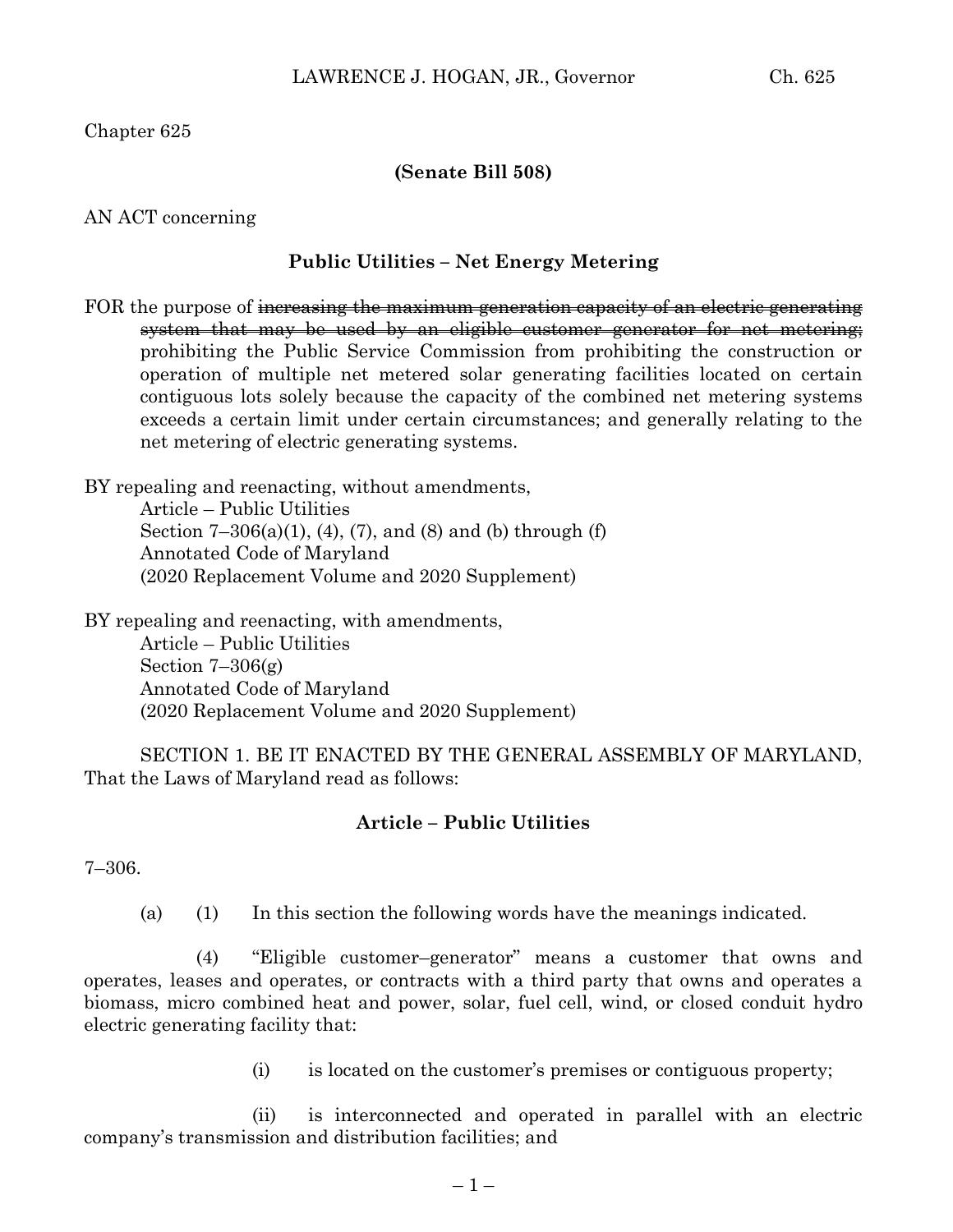Chapter 625

## **(Senate Bill 508)**

AN ACT concerning

## **Public Utilities – Net Energy Metering**

FOR the purpose of increasing the maximum generation capacity of an electric generating system that may be used by an eligible customer–generator for net metering; prohibiting the Public Service Commission from prohibiting the construction or operation of multiple net metered solar generating facilities located on certain contiguous lots solely because the capacity of the combined net metering systems exceeds a certain limit under certain circumstances; and generally relating to the net metering of electric generating systems.

BY repealing and reenacting, without amendments, Article – Public Utilities

Section  $7-306(a)(1)$ ,  $(4)$ ,  $(7)$ , and  $(8)$  and  $(b)$  through  $(f)$ Annotated Code of Maryland (2020 Replacement Volume and 2020 Supplement)

BY repealing and reenacting, with amendments, Article – Public Utilities Section  $7-306(g)$ Annotated Code of Maryland (2020 Replacement Volume and 2020 Supplement)

SECTION 1. BE IT ENACTED BY THE GENERAL ASSEMBLY OF MARYLAND, That the Laws of Maryland read as follows:

## **Article – Public Utilities**

7–306.

(a) (1) In this section the following words have the meanings indicated.

(4) "Eligible customer–generator" means a customer that owns and operates, leases and operates, or contracts with a third party that owns and operates a biomass, micro combined heat and power, solar, fuel cell, wind, or closed conduit hydro electric generating facility that:

(i) is located on the customer's premises or contiguous property;

(ii) is interconnected and operated in parallel with an electric company's transmission and distribution facilities; and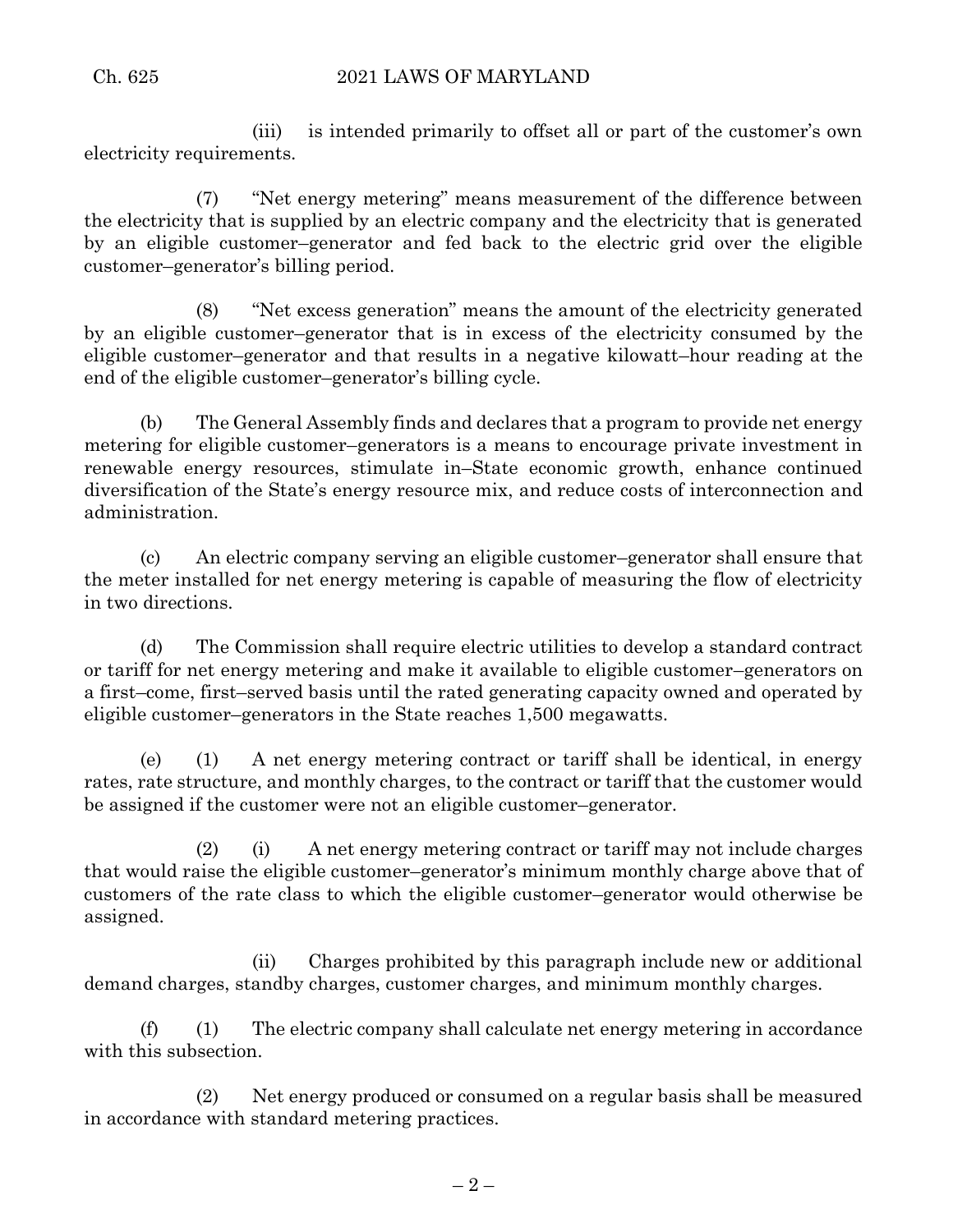(iii) is intended primarily to offset all or part of the customer's own electricity requirements.

(7) "Net energy metering" means measurement of the difference between the electricity that is supplied by an electric company and the electricity that is generated by an eligible customer–generator and fed back to the electric grid over the eligible customer–generator's billing period.

(8) "Net excess generation" means the amount of the electricity generated by an eligible customer–generator that is in excess of the electricity consumed by the eligible customer–generator and that results in a negative kilowatt–hour reading at the end of the eligible customer–generator's billing cycle.

(b) The General Assembly finds and declares that a program to provide net energy metering for eligible customer–generators is a means to encourage private investment in renewable energy resources, stimulate in–State economic growth, enhance continued diversification of the State's energy resource mix, and reduce costs of interconnection and administration.

(c) An electric company serving an eligible customer–generator shall ensure that the meter installed for net energy metering is capable of measuring the flow of electricity in two directions.

(d) The Commission shall require electric utilities to develop a standard contract or tariff for net energy metering and make it available to eligible customer–generators on a first–come, first–served basis until the rated generating capacity owned and operated by eligible customer–generators in the State reaches 1,500 megawatts.

(e) (1) A net energy metering contract or tariff shall be identical, in energy rates, rate structure, and monthly charges, to the contract or tariff that the customer would be assigned if the customer were not an eligible customer–generator.

(2) (i) A net energy metering contract or tariff may not include charges that would raise the eligible customer–generator's minimum monthly charge above that of customers of the rate class to which the eligible customer–generator would otherwise be assigned.

(ii) Charges prohibited by this paragraph include new or additional demand charges, standby charges, customer charges, and minimum monthly charges.

(f) (1) The electric company shall calculate net energy metering in accordance with this subsection.

(2) Net energy produced or consumed on a regular basis shall be measured in accordance with standard metering practices.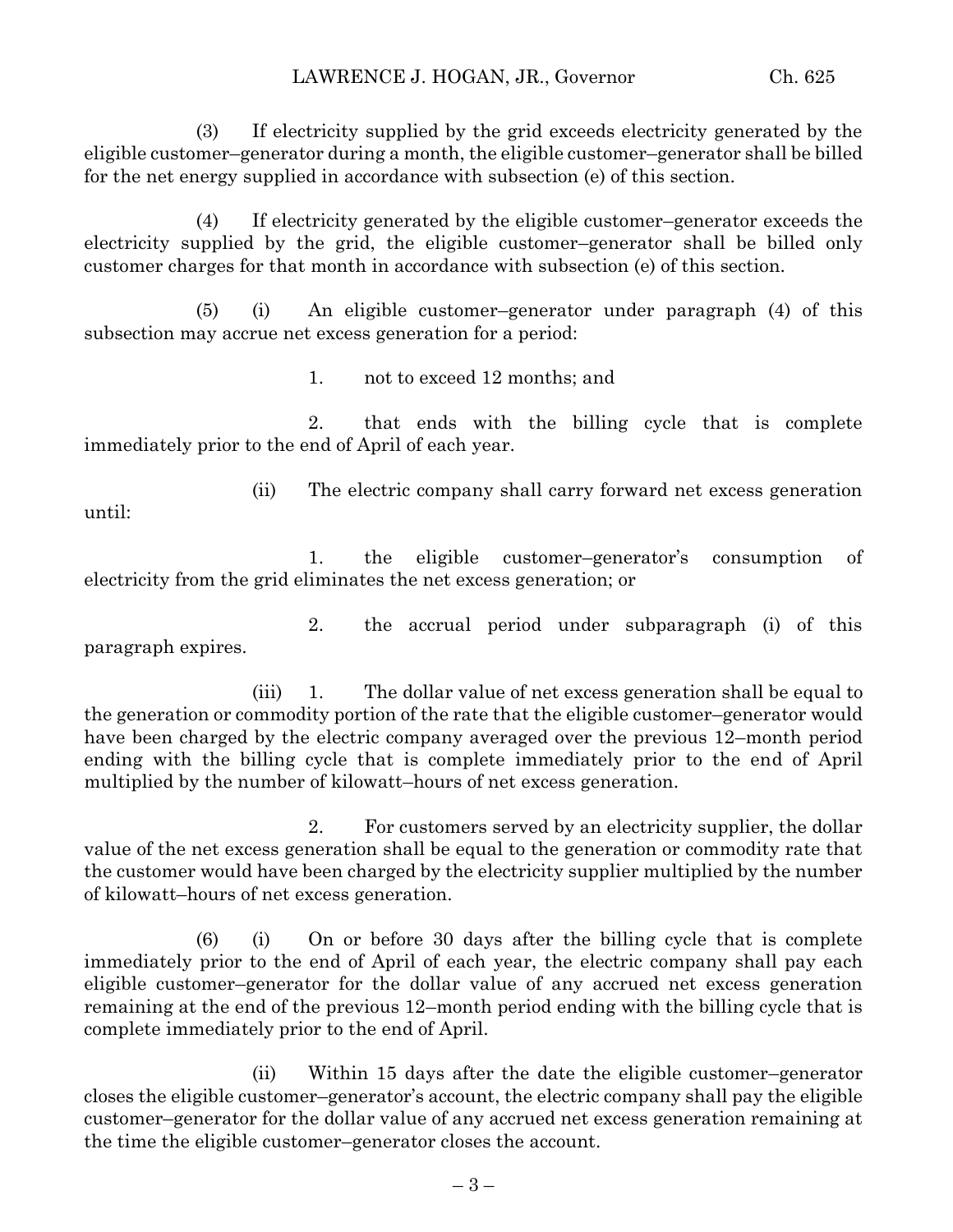(3) If electricity supplied by the grid exceeds electricity generated by the eligible customer–generator during a month, the eligible customer–generator shall be billed for the net energy supplied in accordance with subsection (e) of this section.

(4) If electricity generated by the eligible customer–generator exceeds the electricity supplied by the grid, the eligible customer–generator shall be billed only customer charges for that month in accordance with subsection (e) of this section.

(5) (i) An eligible customer–generator under paragraph (4) of this subsection may accrue net excess generation for a period:

1. not to exceed 12 months; and

2. that ends with the billing cycle that is complete immediately prior to the end of April of each year.

until:

(ii) The electric company shall carry forward net excess generation

1. the eligible customer–generator's consumption of electricity from the grid eliminates the net excess generation; or

2. the accrual period under subparagraph (i) of this paragraph expires.

(iii) 1. The dollar value of net excess generation shall be equal to the generation or commodity portion of the rate that the eligible customer–generator would have been charged by the electric company averaged over the previous 12–month period ending with the billing cycle that is complete immediately prior to the end of April multiplied by the number of kilowatt–hours of net excess generation.

2. For customers served by an electricity supplier, the dollar value of the net excess generation shall be equal to the generation or commodity rate that the customer would have been charged by the electricity supplier multiplied by the number of kilowatt–hours of net excess generation.

(6) (i) On or before 30 days after the billing cycle that is complete immediately prior to the end of April of each year, the electric company shall pay each eligible customer–generator for the dollar value of any accrued net excess generation remaining at the end of the previous 12–month period ending with the billing cycle that is complete immediately prior to the end of April.

(ii) Within 15 days after the date the eligible customer–generator closes the eligible customer–generator's account, the electric company shall pay the eligible customer–generator for the dollar value of any accrued net excess generation remaining at the time the eligible customer–generator closes the account.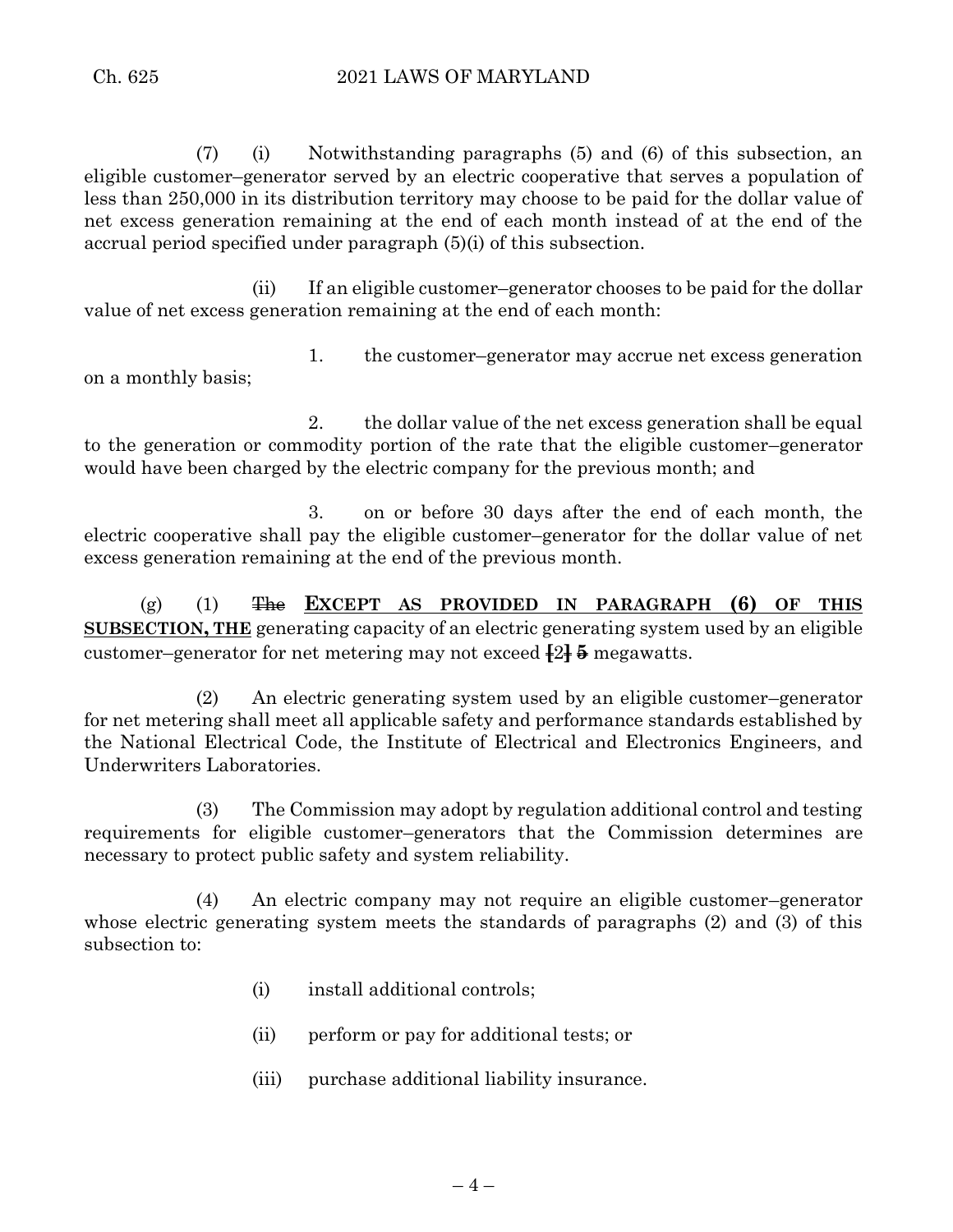(7) (i) Notwithstanding paragraphs (5) and (6) of this subsection, an eligible customer–generator served by an electric cooperative that serves a population of less than 250,000 in its distribution territory may choose to be paid for the dollar value of net excess generation remaining at the end of each month instead of at the end of the accrual period specified under paragraph (5)(i) of this subsection.

(ii) If an eligible customer–generator chooses to be paid for the dollar value of net excess generation remaining at the end of each month:

1. the customer–generator may accrue net excess generation on a monthly basis;

2. the dollar value of the net excess generation shall be equal to the generation or commodity portion of the rate that the eligible customer–generator would have been charged by the electric company for the previous month; and

3. on or before 30 days after the end of each month, the electric cooperative shall pay the eligible customer–generator for the dollar value of net excess generation remaining at the end of the previous month.

(g) (1) The **EXCEPT AS PROVIDED IN PARAGRAPH (6) OF THIS SUBSECTION, THE** generating capacity of an electric generating system used by an eligible customer–generator for net metering may not exceed **[**2**] 5** megawatts.

(2) An electric generating system used by an eligible customer–generator for net metering shall meet all applicable safety and performance standards established by the National Electrical Code, the Institute of Electrical and Electronics Engineers, and Underwriters Laboratories.

(3) The Commission may adopt by regulation additional control and testing requirements for eligible customer–generators that the Commission determines are necessary to protect public safety and system reliability.

(4) An electric company may not require an eligible customer–generator whose electric generating system meets the standards of paragraphs (2) and (3) of this subsection to:

- (i) install additional controls;
- (ii) perform or pay for additional tests; or
- (iii) purchase additional liability insurance.